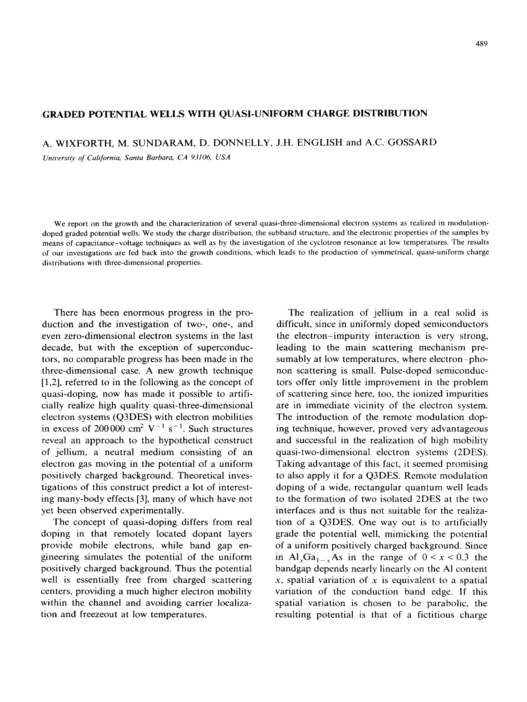## **GRADED POTENTIAL WELLS WITH QUASI-UNIFORM CHARGE DISTRIBUTION**

A. WIXFORTH, M. SUNDARAM, D. DONNELLY, J.H. ENGLISH and A.C. GOSSARD

*Unirwxty of California, Smtu Burbaro. CA* 93106, *USA*

We report on the growth and the characterization of several quasi-three-dimensional electron systems as realized in modulationdoped graded potential wells. We study the charge distribution, the subband structure, and the electronic properties of the samples by means of capacitance-voltage techniques as well as by the investigation of the cyclotron resonance at low temperatures. The results of our investigations are fed back into the growth conditions, which leads to the production of symmetrical, quasi-uniform charge distributions with three-dimensional properties.

There has been enormous progress in the production and the investigation of two-, one-, and even zero-dimensional electron systems in the last decade, but with the exception of superconductors, no comparable progress has been made in the three-dimensional case. A new growth technique [1,2], referred to in the following as the concept of quasi-doping, now has made it possible to artificially realize high quality quasi-three-dimensional electron systems (Q3DES) with electron mobilities in excess of 200 000 cm<sup>2</sup> V<sup>-1</sup> s<sup>-1</sup>. Such structures reveal an approach to the hypothetical construct of jellium, a neutral medium consisting of an electron gas moving in the potential of a uniform positively charged background. Theoretical investigations of this construct predict a lot of interesting many-body effects [3], many of which have not yet been observed experimentally.

The concept of quasi-doping differs from real doping in that remotely located dopant layers provide mobile electrons, while band gap engineering simulates the potential of the uniform positively charged background. Thus the potential well is essentially free from charged scattering centers, providing a much higher electron mobility within the channel and avoiding carrier localization and freezeout at low temperatures.

The realization of jellium in a real solid is difficult, since in uniformly doped semiconductors the electron-impurity interaction is very strong, leading to the main scattering mechanism presumably at low temperatures, where electron-phonon scattering is small. Pulse-doped semiconductors offer only little improvement in the problem of scattering since here, too, the ionized impurities are in immediate vicinity of the electron system. The introduction of the remote modulation doping technique, however, proved very advantageous and successful in the realization of high mobility quasi-two-dimensional electron systems (2DES). Taking advantage of this fact, it seemed promising to also apply it for a Q3DES. Remote modulation doping of a wide, rectangular quantum well leads to the formation of two isolated 2DES at the two interfaces and is thus not suitable for the realization of a Q3DES. One way out is to artificially grade the potential well, mimicking the potential of a uniform positively charged background. Since in Al<sub>x</sub>Ga<sub>1-x</sub>As in the range of  $0 < x < 0.3$  the bandgap depends nearly linearly on the Al content  $x$ , spatial variation of  $x$  is equivalent to a spatial variation of the conduction band edge. If this spatial variation is chosen to be parabolic. the resulting potential is that of a fictitious charge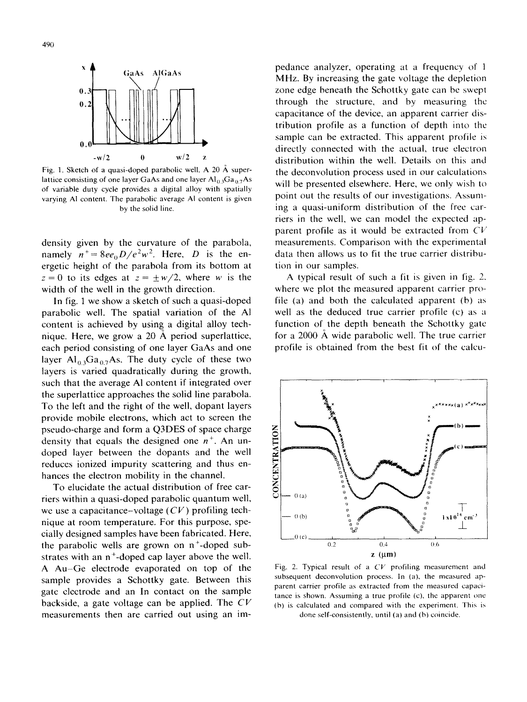

**Fig. 1. Sketch of a quasi-doped parabolic well. A 20 /i superlattice consisting** of one layer GaAs and one layer  $\text{Al}_{0.3}\text{Ga}_{0.7}\text{As}$ **of variable duty cycle provides a digital alloy with spatially varying Al content. The parabolic average Al content is given by the solid line.**

density given by the curvature of the parabola, namely  $n^+=8ee_0D/e^2w^2$ . Here, *D* is the energetic height of the parabola from its bottom at  $z = 0$  to its edges at  $z = \pm w/2$ , where w is the width of the well in the growth direction.

In fig. 1 we show a sketch of such a quasi-doped parabolic well. The spatial variation of the Al content is achieved by using a digital alloy tech- $\frac{5}{3}$ nique. Here, we grow a 20 A period superlattion each period consisting of one layer GaAs and one layer  $Al_0$ ,  $Ga_0$ , As. The duty cycle of these two layers is varied quadratically during the growth. such that the average Al content if integrated over the superlattice approaches the solid line parabola. To the left and the right of the well, dopant layers provide mobile electrons, which act to screen the pseudo-charge and form a Q3DES of space charge density that equals the designed one  $n^+$ . An undoped layer between the dopants and the well reduces ionized impurity scattering and thus enhances the electron mobility in the channel.

To elucidate the actual distribution of free carriers within a quasi-doped parabolic quantum well, we use a capacitance-voltage  $(CV)$  profiling technique at room temperature. For this purpose, specially designed samples have been fabricated. Here, the parabolic wells are grown on  $n^+$ -doped substrates with an  $n^+$ -doped cap layer above the well. A Au-Ge electrode evaporated on top of the sample provides a Schottky gate. Between this gate electrode and an In contact on the sample backside, a gate voltage can be applied. The  $CV$ measurements then are carried out using an im-

pedance analyzer, operating at a frequency of 1 MHz. By increasing the gate voltage the depletion zone edge beneath the Schottky gate can bc swept through the structure, and by measuring the capacitance of the device, an apparent carrier distribution profile as a function of depth into the sample can be extracted. This apparent profile is directly connected with the actual, true electron distribution within the well. Details on this and the deconvolution process used in our calculations will be presented elsewhere. **Here, we** only wish to point out the results of our investigations. Assuming a quasi-uniform distribution of the free carriers in the well, we can model the expected apparent profile as it would be extracted from  $CV$ measurements. Comparison with the experimental data then allows us to fit the true carrier distribution in our samples.

A typical result of such a fit is given in fig. 2. where we plot the measured apparent carrier profile (a) and both the calculated apparent (b) as well as the deduced true carrier profile (c) as a function of the depth beneath the Schottky gate for a 2000 A wide parabolic well. The true carrier profile is obtained from the best fit of the calcu-



**Fig.** 2. **Typical result** of a  $CV$  **profiling measurement** and **subsequent deconvolution process. In (a), the measured apparent carrier profile as extracted from the measured capacltance is shown. Assuming a true profile (c). the apparent one (h) is calculated and compared with the experiment. This is done self-consistently, until (a) and (h) coincide.**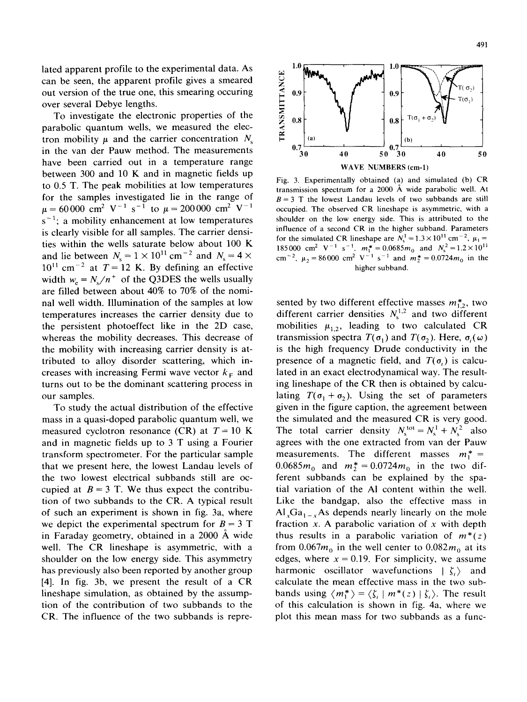lated apparent profile to the experimental data. As can be seen, the apparent profile gives a smeared out version of the true one, this smearing occuring over several Debye lengths.

To investigate the electronic properties of the parabolic quantum wells, we measured the electron mobility  $\mu$  and the carrier concentration  $N_s$ in the van der Pauw method. The measurements have been carried out in a temperature range between 300 and 10 K and in magnetic fields up to 0.5 T. The peak mobilities at low temperatures for the samples investigated lie in the range of  $\mu = 60000 \text{ cm}^2 \text{ V}^{-1} \text{ s}^{-1}$  to  $\mu = 200000 \text{ cm}^2 \text{ V}^{-1}$  $S^{-1}$ ; a mobility enhancement at low temperatures is clearly visible for all samples. The carrier densities within the wells saturate below about 100 K and lie between  $N_s = 1 \times 10^{11}$  cm<sup>-2</sup> and  $N_s = 4 \times$  $10^{11}$  cm<sup>-2</sup> at  $T = 12$  K. By defining an effective width  $w_e = N_s/n^+$  of the Q3DES the wells usually are filled between about 40% to 70% of the nominal well width. Illumination of the samples at low temperatures increases the carrier density due to the persistent photoeffect like in the 2D case, whereas the mobility decreases. This decrease of the mobility with increasing carrier density is attributed to alloy disorder scattering, which increases with increasing Fermi wave vector  $k<sub>F</sub>$  and turns out to be the dominant scattering process in our samples.

To study the actual distribution of the effective mass in a quasi-doped parabolic quantum well, we measured cyclotron resonance (CR) at *T=* 10 K and in magnetic fields up to 3 T using a Fourier transform spectrometer. For the particular sample that we present here, the lowest Landau levels of the two lowest electrical subbands still are occupied at  $B = 3$  T. We thus expect the contribution of two subbands to the CR. A typical result of such an experiment is shown in fig. 3a, where we depict the experimental spectrum for  $B = 3$  T in Faraday geometry, obtained in a 2000 A wide well. The CR lineshape is asymmetric, with a shoulder on the low energy side. This asymmetry has previously also been reported by another group [4]. In fig. 3b, we present the result of a CR lineshape simulation, as obtained by the assumption of the contribution of two subbands to the CR. The influence of the two subbands is repre-



Fig. 3. Experimentally obtained (a) and simulated (b) CR transmission spectrum for a 2000 A wide parabolic well. At  $B = 3$  T the lowest Landau levels of two subbands are still occupied. The observed CR lineshape is asymmetric. with a shoulder on the low energy side. This is attributed to the influence of a second CR in the higher subband. Parameters for the simulated CR lineshape are  $N_s^1 = 1.3 \times 10^{11}$  cm<sup>-2</sup>,  $\mu_1 =$ 185000 cm<sup>2</sup> V<sup>-1</sup> s<sup>-1</sup>,  $m_1^* = 0.0685 m_0$  and  $N_s^2 = 1.2 \times$ cm<sup>-2</sup>,  $\mu_2 = 86000$  cm<sup>2</sup> V<sup>-1</sup> s<sup>-1</sup> and  $m_2^* = 0.0724 m_0$  in the higher subband.

sented by two different effective masses  $m_{1,2}^*$ , two different carrier densities  $N_s^{1,2}$  and two different mobilities  $\mu_{1,2}$ , leading to two calculated CR transmission spectra  $T(\sigma_1)$  and  $T(\sigma_2)$ . Here,  $\sigma_i(\omega)$ is the high frequency Drude conductivity in the presence of a magnetic field, and  $T(\sigma_i)$  is calculated in an exact electrodynamical way. The resulting lineshape of the CR then is obtained by calculating  $T(\sigma_1 + \sigma_2)$ . Using the set of parameters given in the figure caption, the agreement between the simulated and the measured CR is very good. The total carrier density  $N_s^{\text{tot}} = N_s^1 + N_s^2$  also agrees with the one extracted from van der Pauw measurements. The different masses  $m_1^* =$ 0.0685 $m_0$  and  $m_2^* = 0.0724 m_0$  in the two different subbands can be explained by the spatial variation of the Al content within the well. Like the bandgap, also the effective mass in  $Al_xGa_{1-x}As$  depends nearly linearly on the mole fraction x. A parabolic variation of x with depth thus results in a parabolic variation of *m\*(z)* from  $0.067m_0$  in the well center to  $0.082m_0$  at its edges, where  $x = 0.19$ . For simplicity, we assume harmonic oscillator wavefunctions  $|\zeta_i\rangle$  and calculate the mean effective mass in the two subbands using  $\langle m_1^* \rangle = \langle \zeta_i | m^*(z) | \zeta_i \rangle$ . The result of this calculation is shown in fig. 4a, where we plot this mean mass for two subbands as a func-